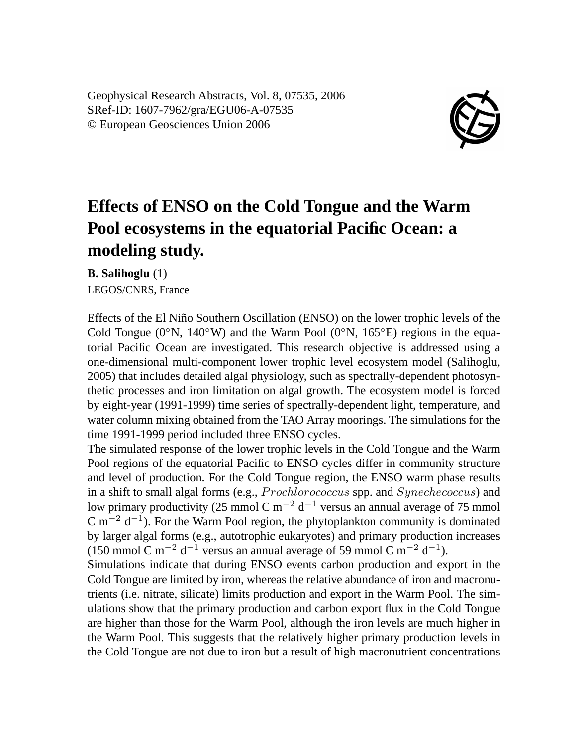Geophysical Research Abstracts, Vol. 8, 07535, 2006 SRef-ID: 1607-7962/gra/EGU06-A-07535 © European Geosciences Union 2006



## **Effects of ENSO on the Cold Tongue and the Warm Pool ecosystems in the equatorial Pacific Ocean: a modeling study.**

**B. Salihoglu** (1)

LEGOS/CNRS, France

Effects of the El Niño Southern Oscillation (ENSO) on the lower trophic levels of the Cold Tongue (0°N, 140°W) and the Warm Pool (0°N, 165°E) regions in the equatorial Pacific Ocean are investigated. This research objective is addressed using a one-dimensional multi-component lower trophic level ecosystem model (Salihoglu, 2005) that includes detailed algal physiology, such as spectrally-dependent photosynthetic processes and iron limitation on algal growth. The ecosystem model is forced by eight-year (1991-1999) time series of spectrally-dependent light, temperature, and water column mixing obtained from the TAO Array moorings. The simulations for the time 1991-1999 period included three ENSO cycles.

The simulated response of the lower trophic levels in the Cold Tongue and the Warm Pool regions of the equatorial Pacific to ENSO cycles differ in community structure and level of production. For the Cold Tongue region, the ENSO warm phase results in a shift to small algal forms (e.g., Prochlorococcus spp. and Synechecoccus) and low primary productivity (25 mmol C m<sup>-2</sup> d<sup>-1</sup> versus an annual average of 75 mmol C m<sup>-2</sup> d<sup>-1</sup>). For the Warm Pool region, the phytoplankton community is dominated by larger algal forms (e.g., autotrophic eukaryotes) and primary production increases (150 mmol C m<sup>-2</sup> d<sup>-1</sup> versus an annual average of 59 mmol C m<sup>-2</sup> d<sup>-1</sup>).

Simulations indicate that during ENSO events carbon production and export in the Cold Tongue are limited by iron, whereas the relative abundance of iron and macronutrients (i.e. nitrate, silicate) limits production and export in the Warm Pool. The simulations show that the primary production and carbon export flux in the Cold Tongue are higher than those for the Warm Pool, although the iron levels are much higher in the Warm Pool. This suggests that the relatively higher primary production levels in the Cold Tongue are not due to iron but a result of high macronutrient concentrations